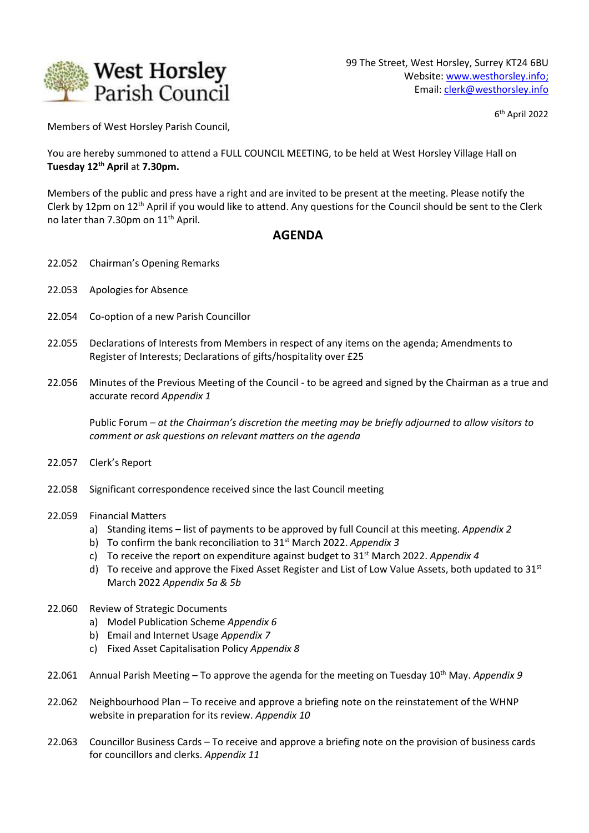

6 th April 2022

Members of West Horsley Parish Council,

You are hereby summoned to attend a FULL COUNCIL MEETING, to be held at West Horsley Village Hall on **Tuesday 12th April** at **7.30pm.**

Members of the public and press have a right and are invited to be present at the meeting. Please notify the Clerk by 12pm on 12th April if you would like to attend. Any questions for the Council should be sent to the Clerk no later than 7.30pm on 11<sup>th</sup> April.

## **AGENDA**

- 22.052 Chairman's Opening Remarks
- 22.053 Apologies for Absence
- 22.054 Co-option of a new Parish Councillor
- 22.055 Declarations of Interests from Members in respect of any items on the agenda; Amendments to Register of Interests; Declarations of gifts/hospitality over £25
- 22.056 Minutes of the Previous Meeting of the Council *-* to be agreed and signed by the Chairman as a true and accurate record *Appendix 1*

Public Forum *– at the Chairman's discretion the meeting may be briefly adjourned to allow visitors to comment or ask questions on relevant matters on the agenda*

- 22.057 Clerk's Report
- 22.058 Significant correspondence received since the last Council meeting
- 22.059 Financial Matters
	- a) Standing items list of payments to be approved by full Council at this meeting. *Appendix 2*
	- b) To confirm the bank reconciliation to 31st March 2022. *Appendix 3*
	- c) To receive the report on expenditure against budget to 31st March 2022. *Appendix 4*
	- d) To receive and approve the Fixed Asset Register and List of Low Value Assets, both updated to  $31^{st}$ March 2022 *Appendix 5a & 5b*
- 22.060 Review of Strategic Documents
	- a) Model Publication Scheme *Appendix 6*
	- b) Email and Internet Usage *Appendix 7*
	- c) Fixed Asset Capitalisation Policy *Appendix 8*
- 22.061 Annual Parish Meeting To approve the agenda for the meeting on Tuesday 10<sup>th</sup> May. Appendix 9
- 22.062 Neighbourhood Plan To receive and approve a briefing note on the reinstatement of the WHNP website in preparation for its review. *Appendix 10*
- 22.063 Councillor Business Cards To receive and approve a briefing note on the provision of business cards for councillors and clerks. *Appendix 11*